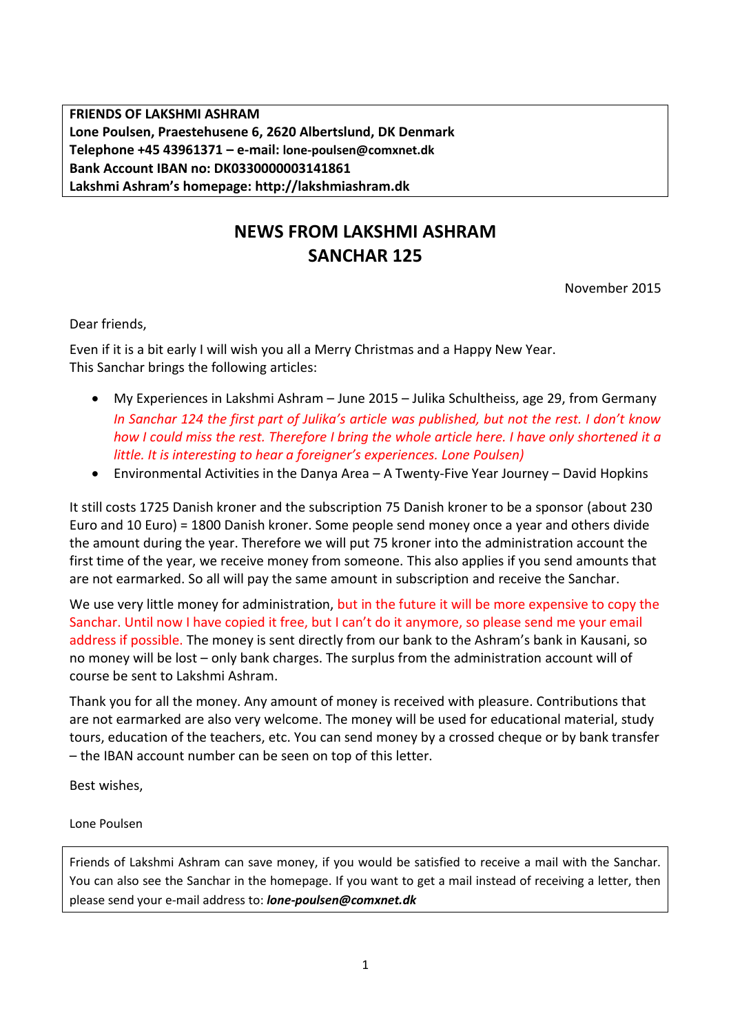**FRIENDS OF LAKSHMI ASHRAM Lone Poulsen, Praestehusene 6, 2620 Albertslund, DK Denmark Telephone +45 43961371 – e-mail: lone-poulsen@comxnet.dk Bank Account IBAN no: DK0330000003141861 Lakshmi Ashram's homepage: http://lakshmiashram.dk**

## **NEWS FROM LAKSHMI ASHRAM SANCHAR 125**

November 2015

Dear friends,

Even if it is a bit early I will wish you all a Merry Christmas and a Happy New Year. This Sanchar brings the following articles:

- My Experiences in Lakshmi Ashram June 2015 Julika Schultheiss, age 29, from Germany *In Sanchar 124 the first part of Julika's article was published, but not the rest. I don't know how I could miss the rest. Therefore I bring the whole article here. I have only shortened it a little. It is interesting to hear a foreigner's experiences. Lone Poulsen)*
- Environmental Activities in the Danya Area A Twenty-Five Year Journey David Hopkins

It still costs 1725 Danish kroner and the subscription 75 Danish kroner to be a sponsor (about 230 Euro and 10 Euro) = 1800 Danish kroner. Some people send money once a year and others divide the amount during the year. Therefore we will put 75 kroner into the administration account the first time of the year, we receive money from someone. This also applies if you send amounts that are not earmarked. So all will pay the same amount in subscription and receive the Sanchar.

We use very little money for administration, but in the future it will be more expensive to copy the Sanchar. Until now I have copied it free, but I can't do it anymore, so please send me your email address if possible. The money is sent directly from our bank to the Ashram's bank in Kausani, so no money will be lost – only bank charges. The surplus from the administration account will of course be sent to Lakshmi Ashram.

Thank you for all the money. Any amount of money is received with pleasure. Contributions that are not earmarked are also very welcome. The money will be used for educational material, study tours, education of the teachers, etc. You can send money by a crossed cheque or by bank transfer – the IBAN account number can be seen on top of this letter.

Best wishes,

Lone Poulsen

Friends of Lakshmi Ashram can save money, if you would be satisfied to receive a mail with the Sanchar. You can also see the Sanchar in the homepage. If you want to get a mail instead of receiving a letter, then please send your e-mail address to: *lone-poulsen@comxnet.dk*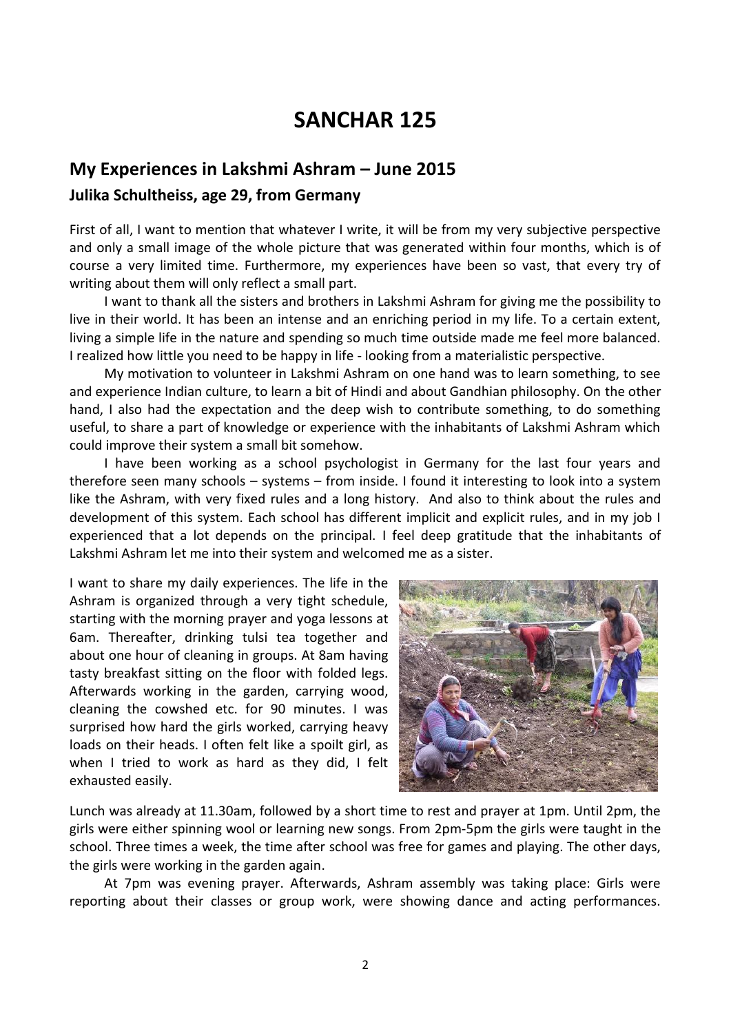## **SANCHAR 125**

## **My Experiences in Lakshmi Ashram – June 2015 Julika Schultheiss, age 29, from Germany**

First of all, I want to mention that whatever I write, it will be from my very subjective perspective and only a small image of the whole picture that was generated within four months, which is of course a very limited time. Furthermore, my experiences have been so vast, that every try of writing about them will only reflect a small part.

I want to thank all the sisters and brothers in Lakshmi Ashram for giving me the possibility to live in their world. It has been an intense and an enriching period in my life. To a certain extent, living a simple life in the nature and spending so much time outside made me feel more balanced. I realized how little you need to be happy in life - looking from a materialistic perspective.

My motivation to volunteer in Lakshmi Ashram on one hand was to learn something, to see and experience Indian culture, to learn a bit of Hindi and about Gandhian philosophy. On the other hand, I also had the expectation and the deep wish to contribute something, to do something useful, to share a part of knowledge or experience with the inhabitants of Lakshmi Ashram which could improve their system a small bit somehow.

I have been working as a school psychologist in Germany for the last four years and therefore seen many schools – systems – from inside. I found it interesting to look into a system like the Ashram, with very fixed rules and a long history. And also to think about the rules and development of this system. Each school has different implicit and explicit rules, and in my job I experienced that a lot depends on the principal. I feel deep gratitude that the inhabitants of Lakshmi Ashram let me into their system and welcomed me as a sister.

I want to share my daily experiences. The life in the Ashram is organized through a very tight schedule, starting with the morning prayer and yoga lessons at 6am. Thereafter, drinking tulsi tea together and about one hour of cleaning in groups. At 8am having tasty breakfast sitting on the floor with folded legs. Afterwards working in the garden, carrying wood, cleaning the cowshed etc. for 90 minutes. I was surprised how hard the girls worked, carrying heavy loads on their heads. I often felt like a spoilt girl, as when I tried to work as hard as they did, I felt exhausted easily.



Lunch was already at 11.30am, followed by a short time to rest and prayer at 1pm. Until 2pm, the girls were either spinning wool or learning new songs. From 2pm-5pm the girls were taught in the school. Three times a week, the time after school was free for games and playing. The other days, the girls were working in the garden again.

At 7pm was evening prayer. Afterwards, Ashram assembly was taking place: Girls were reporting about their classes or group work, were showing dance and acting performances.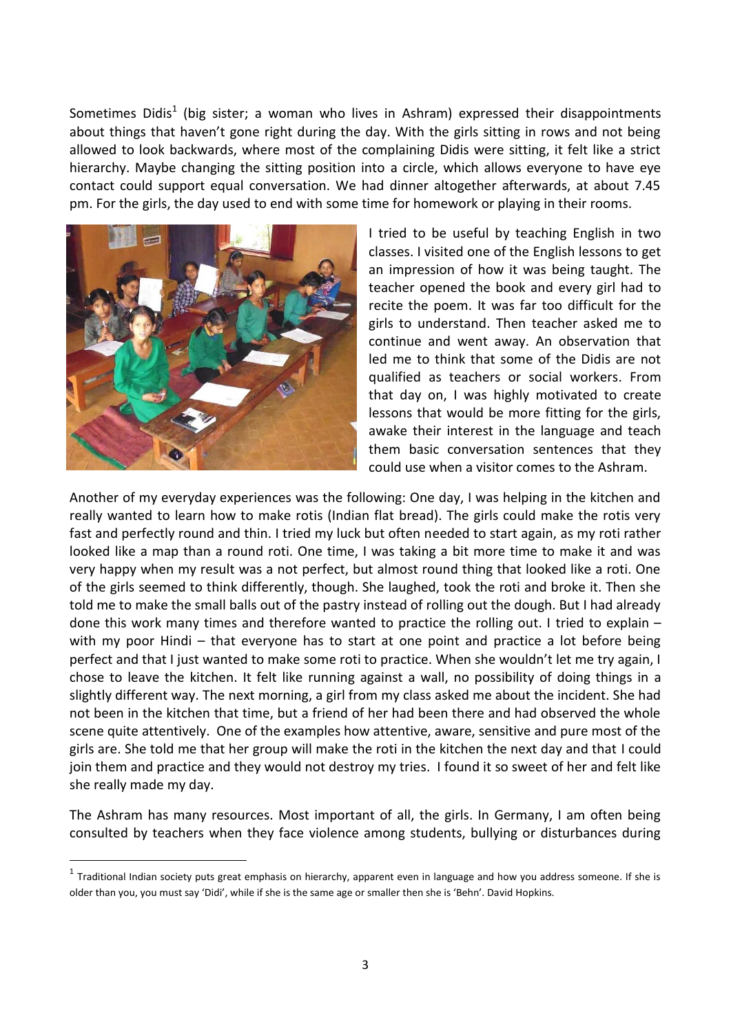Sometimes Didis<sup>1</sup> (big sister; a woman who lives in Ashram) expressed their disappointments about things that haven't gone right during the day. With the girls sitting in rows and not being allowed to look backwards, where most of the complaining Didis were sitting, it felt like a strict hierarchy. Maybe changing the sitting position into a circle, which allows everyone to have eye contact could support equal conversation. We had dinner altogether afterwards, at about 7.45 pm. For the girls, the day used to end with some time for homework or playing in their rooms.



1

I tried to be useful by teaching English in two classes. I visited one of the English lessons to get an impression of how it was being taught. The teacher opened the book and every girl had to recite the poem. It was far too difficult for the girls to understand. Then teacher asked me to continue and went away. An observation that led me to think that some of the Didis are not qualified as teachers or social workers. From that day on, I was highly motivated to create lessons that would be more fitting for the girls, awake their interest in the language and teach them basic conversation sentences that they could use when a visitor comes to the Ashram.

Another of my everyday experiences was the following: One day, I was helping in the kitchen and really wanted to learn how to make rotis (Indian flat bread). The girls could make the rotis very fast and perfectly round and thin. I tried my luck but often needed to start again, as my roti rather looked like a map than a round roti. One time, I was taking a bit more time to make it and was very happy when my result was a not perfect, but almost round thing that looked like a roti. One of the girls seemed to think differently, though. She laughed, took the roti and broke it. Then she told me to make the small balls out of the pastry instead of rolling out the dough. But I had already done this work many times and therefore wanted to practice the rolling out. I tried to explain – with my poor Hindi – that everyone has to start at one point and practice a lot before being perfect and that I just wanted to make some roti to practice. When she wouldn't let me try again, I chose to leave the kitchen. It felt like running against a wall, no possibility of doing things in a slightly different way. The next morning, a girl from my class asked me about the incident. She had not been in the kitchen that time, but a friend of her had been there and had observed the whole scene quite attentively. One of the examples how attentive, aware, sensitive and pure most of the girls are. She told me that her group will make the roti in the kitchen the next day and that I could join them and practice and they would not destroy my tries. I found it so sweet of her and felt like she really made my day.

The Ashram has many resources. Most important of all, the girls. In Germany, I am often being consulted by teachers when they face violence among students, bullying or disturbances during

 $^1$  Traditional Indian society puts great emphasis on hierarchy, apparent even in language and how you address someone. If she is older than you, you must say 'Didi', while if she is the same age or smaller then she is 'Behn'. David Hopkins.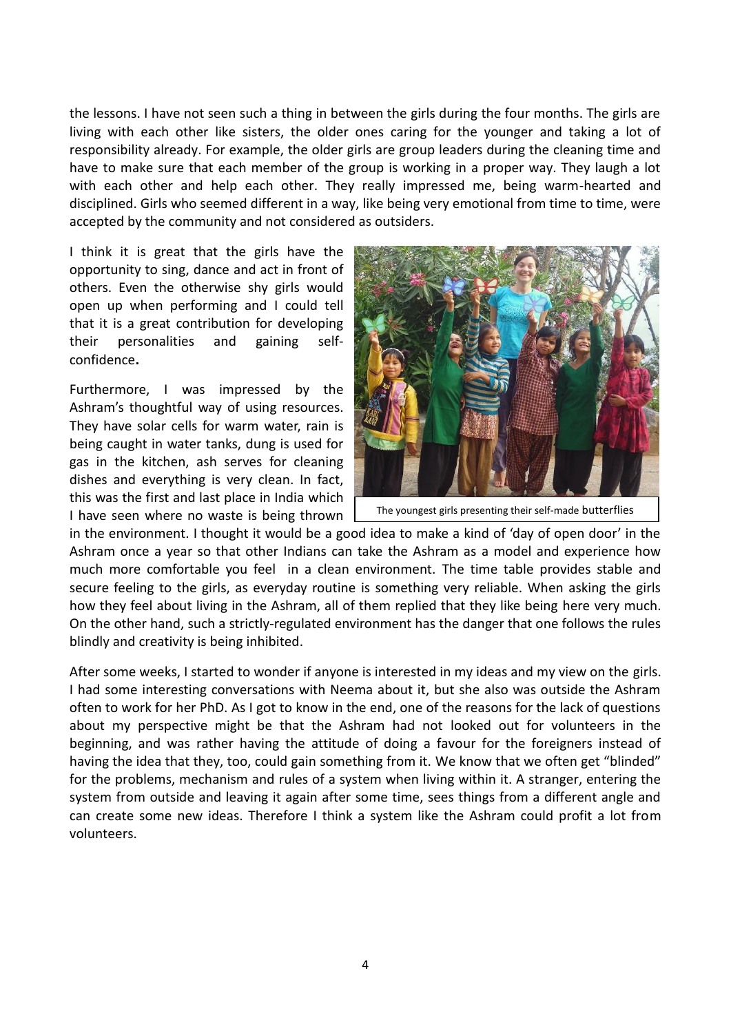the lessons. I have not seen such a thing in between the girls during the four months. The girls are living with each other like sisters, the older ones caring for the younger and taking a lot of responsibility already. For example, the older girls are group leaders during the cleaning time and have to make sure that each member of the group is working in a proper way. They laugh a lot with each other and help each other. They really impressed me, being warm-hearted and disciplined. Girls who seemed different in a way, like being very emotional from time to time, were accepted by the community and not considered as outsiders.

I think it is great that the girls have the opportunity to sing, dance and act in front of others. Even the otherwise shy girls would open up when performing and I could tell that it is a great contribution for developing their personalities and gaining selfconfidence**.** 

Furthermore, I was impressed by the Ashram's thoughtful way of using resources. They have solar cells for warm water, rain is being caught in water tanks, dung is used for gas in the kitchen, ash serves for cleaning dishes and everything is very clean. In fact, this was the first and last place in India which I have seen where no waste is being thrown



The youngest girls presenting their self-made butterflies

in the environment. I thought it would be a good idea to make a kind of 'day of open door' in the Ashram once a year so that other Indians can take the Ashram as a model and experience how much more comfortable you feel in a clean environment. The time table provides stable and secure feeling to the girls, as everyday routine is something very reliable. When asking the girls how they feel about living in the Ashram, all of them replied that they like being here very much. On the other hand, such a strictly-regulated environment has the danger that one follows the rules blindly and creativity is being inhibited.

After some weeks, I started to wonder if anyone is interested in my ideas and my view on the girls. I had some interesting conversations with Neema about it, but she also was outside the Ashram often to work for her PhD. As I got to know in the end, one of the reasons for the lack of questions about my perspective might be that the Ashram had not looked out for volunteers in the beginning, and was rather having the attitude of doing a favour for the foreigners instead of having the idea that they, too, could gain something from it. We know that we often get "blinded" for the problems, mechanism and rules of a system when living within it. A stranger, entering the system from outside and leaving it again after some time, sees things from a different angle and can create some new ideas. Therefore I think a system like the Ashram could profit a lot from volunteers.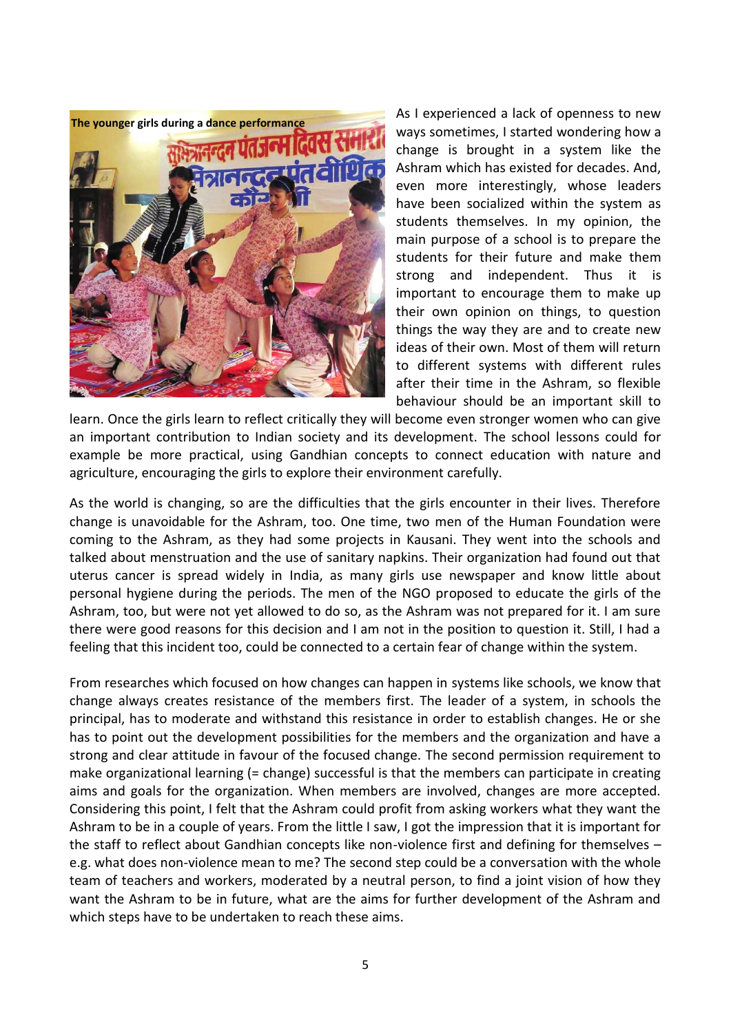

As I experienced a lack of openness to new ways sometimes, I started wondering how a change is brought in a system like the Ashram which has existed for decades. And, even more interestingly, whose leaders have been socialized within the system as students themselves. In my opinion, the main purpose of a school is to prepare the students for their future and make them strong and independent. Thus it is important to encourage them to make up their own opinion on things, to question things the way they are and to create new ideas of their own. Most of them will return to different systems with different rules after their time in the Ashram, so flexible behaviour should be an important skill to

learn. Once the girls learn to reflect critically they will become even stronger women who can give an important contribution to Indian society and its development. The school lessons could for example be more practical, using Gandhian concepts to connect education with nature and agriculture, encouraging the girls to explore their environment carefully.

As the world is changing, so are the difficulties that the girls encounter in their lives. Therefore change is unavoidable for the Ashram, too. One time, two men of the Human Foundation were coming to the Ashram, as they had some projects in Kausani. They went into the schools and talked about menstruation and the use of sanitary napkins. Their organization had found out that uterus cancer is spread widely in India, as many girls use newspaper and know little about personal hygiene during the periods. The men of the NGO proposed to educate the girls of the Ashram, too, but were not yet allowed to do so, as the Ashram was not prepared for it. I am sure there were good reasons for this decision and I am not in the position to question it. Still, I had a feeling that this incident too, could be connected to a certain fear of change within the system.

From researches which focused on how changes can happen in systems like schools, we know that change always creates resistance of the members first. The leader of a system, in schools the principal, has to moderate and withstand this resistance in order to establish changes. He or she has to point out the development possibilities for the members and the organization and have a strong and clear attitude in favour of the focused change. The second permission requirement to make organizational learning (= change) successful is that the members can participate in creating aims and goals for the organization. When members are involved, changes are more accepted. Considering this point, I felt that the Ashram could profit from asking workers what they want the Ashram to be in a couple of years. From the little I saw, I got the impression that it is important for the staff to reflect about Gandhian concepts like non-violence first and defining for themselves – e.g. what does non-violence mean to me? The second step could be a conversation with the whole team of teachers and workers, moderated by a neutral person, to find a joint vision of how they want the Ashram to be in future, what are the aims for further development of the Ashram and which steps have to be undertaken to reach these aims.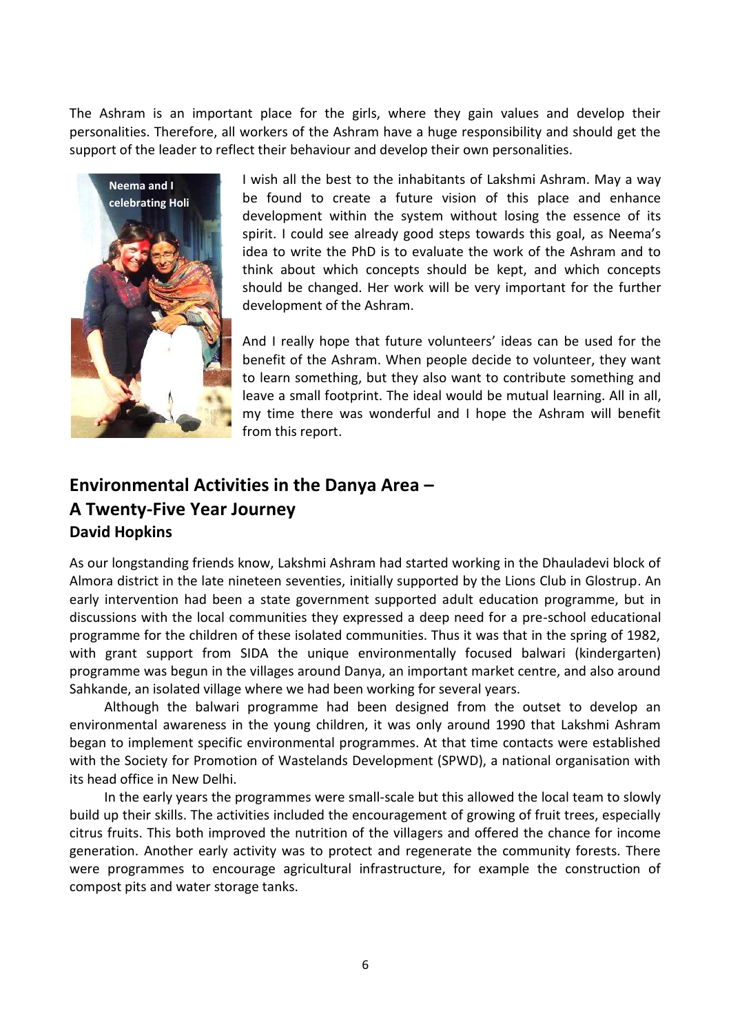The Ashram is an important place for the girls, where they gain values and develop their personalities. Therefore, all workers of the Ashram have a huge responsibility and should get the support of the leader to reflect their behaviour and develop their own personalities.



I wish all the best to the inhabitants of Lakshmi Ashram. May a way be found to create a future vision of this place and enhance development within the system without losing the essence of its spirit. I could see already good steps towards this goal, as Neema's idea to write the PhD is to evaluate the work of the Ashram and to think about which concepts should be kept, and which concepts should be changed. Her work will be very important for the further development of the Ashram.

And I really hope that future volunteers' ideas can be used for the benefit of the Ashram. When people decide to volunteer, they want to learn something, but they also want to contribute something and leave a small footprint. The ideal would be mutual learning. All in all, my time there was wonderful and I hope the Ashram will benefit from this report.

## **Environmental Activities in the Danya Area – A Twenty-Five Year Journey David Hopkins**

As our longstanding friends know, Lakshmi Ashram had started working in the Dhauladevi block of Almora district in the late nineteen seventies, initially supported by the Lions Club in Glostrup. An early intervention had been a state government supported adult education programme, but in discussions with the local communities they expressed a deep need for a pre-school educational programme for the children of these isolated communities. Thus it was that in the spring of 1982, with grant support from SIDA the unique environmentally focused balwari (kindergarten) programme was begun in the villages around Danya, an important market centre, and also around Sahkande, an isolated village where we had been working for several years.

Although the balwari programme had been designed from the outset to develop an environmental awareness in the young children, it was only around 1990 that Lakshmi Ashram began to implement specific environmental programmes. At that time contacts were established with the Society for Promotion of Wastelands Development (SPWD), a national organisation with its head office in New Delhi.

In the early years the programmes were small-scale but this allowed the local team to slowly build up their skills. The activities included the encouragement of growing of fruit trees, especially citrus fruits. This both improved the nutrition of the villagers and offered the chance for income generation. Another early activity was to protect and regenerate the community forests. There were programmes to encourage agricultural infrastructure, for example the construction of compost pits and water storage tanks.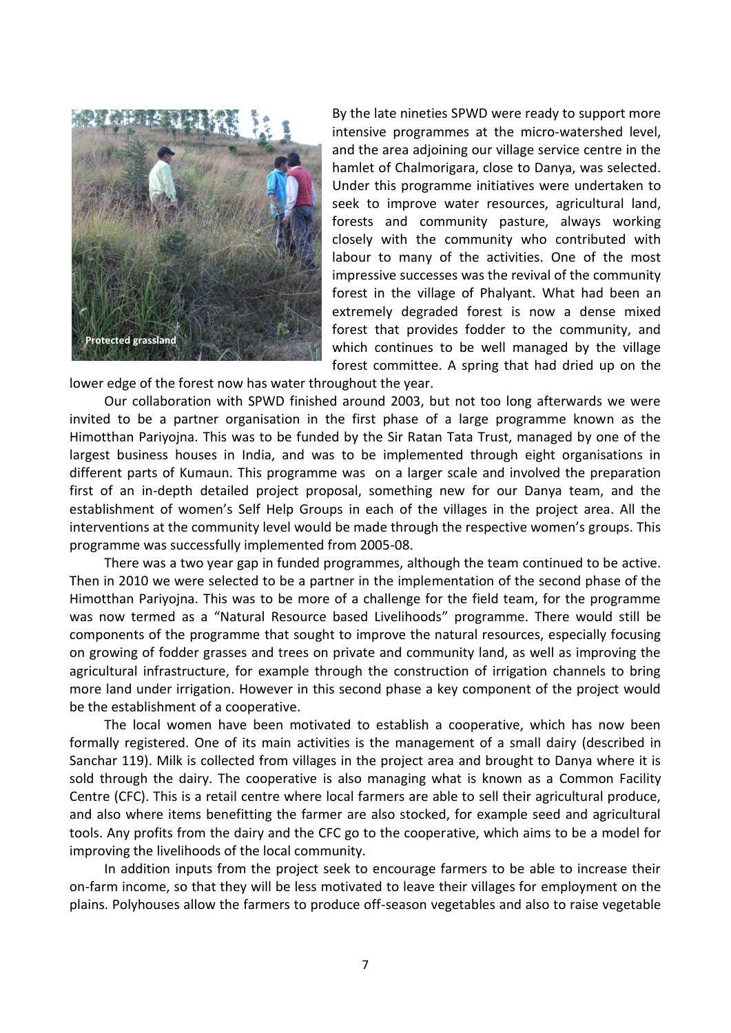

By the late nineties SPWD were ready to support more intensive programmes at the micro-watershed level, and the area adjoining our village service centre in the hamlet of Chalmorigara, close to Danya, was selected. Under this programme initiatives were undertaken to seek to improve water resources, agricultural land, forests and community pasture, always working closely with the community who contributed with labour to many of the activities. One of the most impressive successes was the revival of the community forest in the village of Phalyant. What had been an extremely degraded forest is now a dense mixed forest that provides fodder to the community, and which continues to be well managed by the village forest committee. A spring that had dried up on the

lower edge of the forest now has water throughout the year.

Our collaboration with SPWD finished around 2003, but not too long afterwards we were invited to be a partner organisation in the first phase of a large programme known as the Himotthan Pariyojna. This was to be funded by the Sir Ratan Tata Trust, managed by one of the largest business houses in India, and was to be implemented through eight organisations in different parts of Kumaun. This programme was on a larger scale and involved the preparation first of an in-depth detailed project proposal, something new for our Danya team, and the establishment of women's Self Help Groups in each of the villages in the project area. All the interventions at the community level would be made through the respective women's groups. This programme was successfully implemented from 2005-08.

There was a two year gap in funded programmes, although the team continued to be active. Then in 2010 we were selected to be a partner in the implementation of the second phase of the Himotthan Pariyojna. This was to be more of a challenge for the field team, for the programme was now termed as a "Natural Resource based Livelihoods" programme. There would still be components of the programme that sought to improve the natural resources, especially focusing on growing of fodder grasses and trees on private and community land, as well as improving the agricultural infrastructure, for example through the construction of irrigation channels to bring more land under irrigation. However in this second phase a key component of the project would be the establishment of a cooperative.

The local women have been motivated to establish a cooperative, which has now been formally registered. One of its main activities is the management of a small dairy (described in Sanchar 119). Milk is collected from villages in the project area and brought to Danya where it is sold through the dairy. The cooperative is also managing what is known as a Common Facility Centre (CFC). This is a retail centre where local farmers are able to sell their agricultural produce, and also where items benefitting the farmer are also stocked, for example seed and agricultural tools. Any profits from the dairy and the CFC go to the cooperative, which aims to be a model for improving the livelihoods of the local community.

In addition inputs from the project seek to encourage farmers to be able to increase their on-farm income, so that they will be less motivated to leave their villages for employment on the plains. Polyhouses allow the farmers to produce off-season vegetables and also to raise vegetable